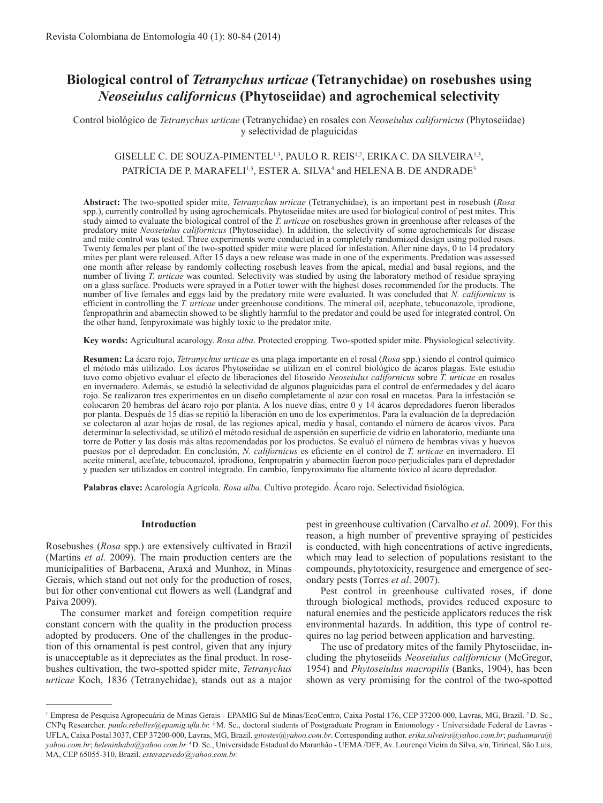# **Biological control of** *Tetranychus urticae* **(Tetranychidae) on rosebushes using** *Neoseiulus californicus* **(Phytoseiidae) and agrochemical selectivity**

Control biológico de *Tetranychus urticae* (Tetranychidae) en rosales con *Neoseiulus californicus* (Phytoseiidae) y selectividad de plaguicidas

# GISELLE C. DE SOUZA-PIMENTEL<sup>1,3</sup>, PAULO R. REIS<sup>1,2</sup>, ERIKA C. DA SILVEIRA<sup>1,3</sup>, PATRÍCIA DE P. MARAFELI<sup>1,3</sup>, ESTER A. SILVA<sup>4</sup> and HELENA B. DE ANDRADE<sup>3</sup>

**Abstract:** The two-spotted spider mite, *Tetranychus urticae* (Tetranychidae), is an important pest in rosebush (*Rosa* spp.), currently controlled by using agrochemicals. Phytoseiidae mites are used for biological control of pest mites. This study aimed to evaluate the biological control of the *T. urticae* on rosebushes grown in greenhouse after releases of the predatory mite *Neoseiulus californicus* (Phytoseiidae). In addition, the selectivity of some agrochemicals for disease and mite control was tested. Three experiments were conducted in a completely randomized design using potted roses. Twenty females per plant of the two-spotted spider mite were placed for infestation. After nine days, 0 to 14 predatory mites per plant were released. After 15 days a new release was made in one of the experiments. Predation was assessed one month after release by randomly collecting rosebush leaves from the apical, medial and basal regions, and the number of living *T. urticae* was counted. Selectivity was studied by using the laboratory method of residue spraying on a glass surface. Products were sprayed in a Potter tower with the highest doses recommended for the products. The number of live females and eggs laid by the predatory mite were evaluated. It was concluded that *N. californicus* is efficient in controlling the *T. urticae* under greenhouse conditions. The mineral oil, acephate, tebuconazole, iprodione, fenpropathrin and abamectin showed to be slightly harmful to the predator and could be used for integrated control. On the other hand, fenpyroximate was highly toxic to the predator mite.

**Key words:** Agricultural acarology. *Rosa alba*. Protected cropping. Two-spotted spider mite. Physiological selectivity.

**Resumen:** La ácaro rojo, *Tetranychus urticae* es una plaga importante en el rosal (*Rosa* spp.) siendo el control químico el método más utilizado. Los ácaros Phytoseiidae se utilizan en el control biológico de ácaros plagas. Este estudio tuvo como objetivo evaluar el efecto de liberaciones del fitoseido *Neoseiulus californicus* sobre *T. urticae* en rosales en invernadero. Además, se estudió la selectividad de algunos plaguicidas para el control de enfermedades y del ácaro rojo. Se realizaron tres experimentos en un diseño completamente al azar con rosal en macetas. Para la infestación se colocaron 20 hembras del ácaro rojo por planta. A los nueve días, entre 0 y 14 ácaros depredadores fueron liberados por planta. Después de 15 días se repitió la liberación en uno de los experimentos. Para la evaluación de la depredación se colectaron al azar hojas de rosal, de las regiones apical, media y basal, contando el número de ácaros vivos. Para determinar la selectividad, se utilizó el método residual de aspersión en superficie de vidrio en laboratorio, mediante una torre de Potter y las dosis más altas recomendadas por los productos. Se evaluó el número de hembras vivas y huevos puestos por el depredador. En conclusión, *N. californicus* es eficiente en el control de *T. urticae* en invernadero. El aceite mineral, acefate, tebuconazol, iprodiono, fenpropatrin y abamectin fueron poco perjudiciales para el depredador y pueden ser utilizados en control integrado. En cambio, fenpyroximato fue altamente tóxico al ácaro depredador.

**Palabras clave:** Acarología Agrícola. *Rosa alba*. Cultivo protegido. Ácaro rojo. Selectividad fisiológica.

#### **Introduction**

Rosebushes (*Rosa* spp.) are extensively cultivated in Brazil (Martins *et al.* 2009). The main production centers are the municipalities of Barbacena, Araxá and Munhoz, in Minas Gerais, which stand out not only for the production of roses, but for other conventional cut flowers as well (Landgraf and Paiva 2009).

The consumer market and foreign competition require constant concern with the quality in the production process adopted by producers. One of the challenges in the production of this ornamental is pest control, given that any injury is unacceptable as it depreciates as the final product. In rosebushes cultivation, the two-spotted spider mite, *Tetranychus urticae* Koch, 1836 (Tetranychidae), stands out as a major

pest in greenhouse cultivation (Carvalho *et al*. 2009). For this reason, a high number of preventive spraying of pesticides is conducted, with high concentrations of active ingredients, which may lead to selection of populations resistant to the compounds, phytotoxicity, resurgence and emergence of secondary pests (Torres *et al*. 2007).

Pest control in greenhouse cultivated roses, if done through biological methods, provides reduced exposure to natural enemies and the pesticide applicators reduces the risk environmental hazards. In addition, this type of control requires no lag period between application and harvesting.

The use of predatory mites of the family Phytoseiidae, including the phytoseiids *Neoseiulus californicus* (McGregor, 1954) and *Phytoseiulus macropilis* (Banks, 1904), has been shown as very promising for the control of the two-spotted

<sup>&</sup>lt;sup>1</sup> Empresa de Pesquisa Agropecuária de Minas Gerais - EPAMIG Sul de Minas/EcoCentro, Caixa Postal 176, CEP 37200-000, Lavras, MG, Brazil. <sup>2</sup>D. Sc., CNPq Researcher. *paulo.rebelles@epamig.ufla.br.* <sup>3</sup>M. Sc., doctoral students of Postgraduate Program in Entomology - Universidade Federal de Lavras - UFLA, Caixa Postal 3037, CEP 37200-000, Lavras, MG, Brazil. *gitostes@yahoo.com.br*. Corresponding author. *erika.silveira@yahoo.com.br*; *paduamara@ yahoo.com.br*; *heleninhaba@yahoo.com.br.* <sup>4</sup>D. Sc., Universidade Estadual do Maranhão - UEMA /DFF, Av. Lourenço Vieira da Silva, s/n, Tirirical, São Luis, MA, CEP 65055-310, Brazil. *esterazevedo@yahoo.com.br.*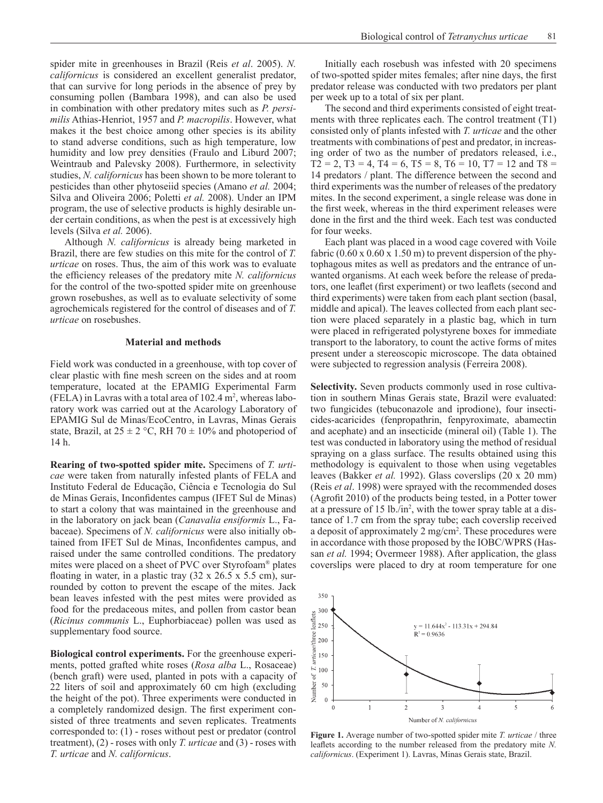spider mite in greenhouses in Brazil (Reis *et al*. 2005). *N. californicus* is considered an excellent generalist predator, that can survive for long periods in the absence of prey by consuming pollen (Bambara 1998), and can also be used in combination with other predatory mites such as *P. persimilis* Athias-Henriot, 1957 and *P. macropilis*. However, what makes it the best choice among other species is its ability to stand adverse conditions, such as high temperature, low humidity and low prey densities (Fraulo and Liburd 2007; Weintraub and Palevsky 2008). Furthermore, in selectivity studies, *N. californicus* has been shown to be more tolerant to pesticides than other phytoseiid species (Amano *et al.* 2004; Silva and Oliveira 2006; Poletti *et al.* 2008). Under an IPM program, the use of selective products is highly desirable under certain conditions, as when the pest is at excessively high levels (Silva *et al.* 2006).

Although *N. californicus* is already being marketed in Brazil, there are few studies on this mite for the control of *T. urticae* on roses. Thus, the aim of this work was to evaluate the efficiency releases of the predatory mite *N. californicus*  for the control of the two-spotted spider mite on greenhouse grown rosebushes, as well as to evaluate selectivity of some agrochemicals registered for the control of diseases and of *T. urticae* on rosebushes.

## **Material and methods**

Field work was conducted in a greenhouse, with top cover of clear plastic with fine mesh screen on the sides and at room temperature, located at the EPAMIG Experimental Farm (FELA) in Lavras with a total area of  $102.4 \text{ m}^2$ , whereas laboratory work was carried out at the Acarology Laboratory of EPAMIG Sul de Minas/EcoCentro, in Lavras, Minas Gerais state, Brazil, at  $25 \pm 2$  °C, RH 70  $\pm$  10% and photoperiod of 14 h.

**Rearing of two-spotted spider mite.** Specimens of *T. urticae* were taken from naturally infested plants of FELA and Instituto Federal de Educação, Ciência e Tecnologia do Sul de Minas Gerais, Inconfidentes campus (IFET Sul de Minas) to start a colony that was maintained in the greenhouse and in the laboratory on jack bean (*Canavalia ensiformis* L., Fabaceae). Specimens of *N. californicus* were also initially obtained from IFET Sul de Minas, Inconfidentes campus, and raised under the same controlled conditions. The predatory mites were placed on a sheet of PVC over Styrofoam® plates floating in water, in a plastic tray (32 x 26.5 x 5.5 cm), surrounded by cotton to prevent the escape of the mites. Jack bean leaves infested with the pest mites were provided as food for the predaceous mites, and pollen from castor bean (*Ricinus communis* L., Euphorbiaceae) pollen was used as supplementary food source.

**Biological control experiments.** For the greenhouse experiments, potted grafted white roses (*Rosa alba* L., Rosaceae) (bench graft) were used, planted in pots with a capacity of 22 liters of soil and approximately 60 cm high (excluding the height of the pot). Three experiments were conducted in a completely randomized design. The first experiment consisted of three treatments and seven replicates. Treatments corresponded to: (1) - roses without pest or predator (control treatment), (2) - roses with only *T. urticae* and (3) - roses with *T. urticae* and *N. californicus*.

Initially each rosebush was infested with 20 specimens of two-spotted spider mites females; after nine days, the first predator release was conducted with two predators per plant per week up to a total of six per plant.

The second and third experiments consisted of eight treatments with three replicates each. The control treatment (T1) consisted only of plants infested with *T. urticae* and the other treatments with combinations of pest and predator, in increasing order of two as the number of predators released, i.e.,  $T2 = 2$ ,  $T3 = 4$ ,  $T4 = 6$ ,  $T5 = 8$ ,  $T6 = 10$ ,  $T7 = 12$  and  $T8 =$ 14 predators / plant. The difference between the second and third experiments was the number of releases of the predatory mites. In the second experiment, a single release was done in the first week, whereas in the third experiment releases were done in the first and the third week. Each test was conducted for four weeks.

Each plant was placed in a wood cage covered with Voile fabric  $(0.60 \times 0.60 \times 1.50 \text{ m})$  to prevent dispersion of the phytophagous mites as well as predators and the entrance of unwanted organisms. At each week before the release of predators, one leaflet (first experiment) or two leaflets (second and third experiments) were taken from each plant section (basal, middle and apical). The leaves collected from each plant section were placed separately in a plastic bag, which in turn were placed in refrigerated polystyrene boxes for immediate transport to the laboratory, to count the active forms of mites present under a stereoscopic microscope. The data obtained were subjected to regression analysis (Ferreira 2008).

**Selectivity.** Seven products commonly used in rose cultivation in southern Minas Gerais state, Brazil were evaluated: two fungicides (tebuconazole and iprodione), four insecticides-acaricides (fenpropathrin, fenpyroximate, abamectin and acephate) and an insecticide (mineral oil) (Table 1). The test was conducted in laboratory using the method of residual spraying on a glass surface. The results obtained using this methodology is equivalent to those when using vegetables leaves (Bakker *et al.* 1992). Glass coverslips (20 x 20 mm) (Reis *et al*. 1998) were sprayed with the recommended doses (Agrofit 2010) of the products being tested, in a Potter tower at a pressure of 15 lb./in<sup>2</sup> , with the tower spray table at a distance of 1.7 cm from the spray tube; each coverslip received a deposit of approximately 2 mg/cm<sup>2</sup>. These procedures were in accordance with those proposed by the IOBC/WPRS (Hassan *et al.* 1994; Overmeer 1988). After application, the glass coverslips were placed to dry at room temperature for one



**Figure 1.** Average number of two-spotted spider mite *T. urticae* / three leaflets according to the number released from the predatory mite *N. californicus*. (Experiment 1). Lavras, Minas Gerais state, Brazil.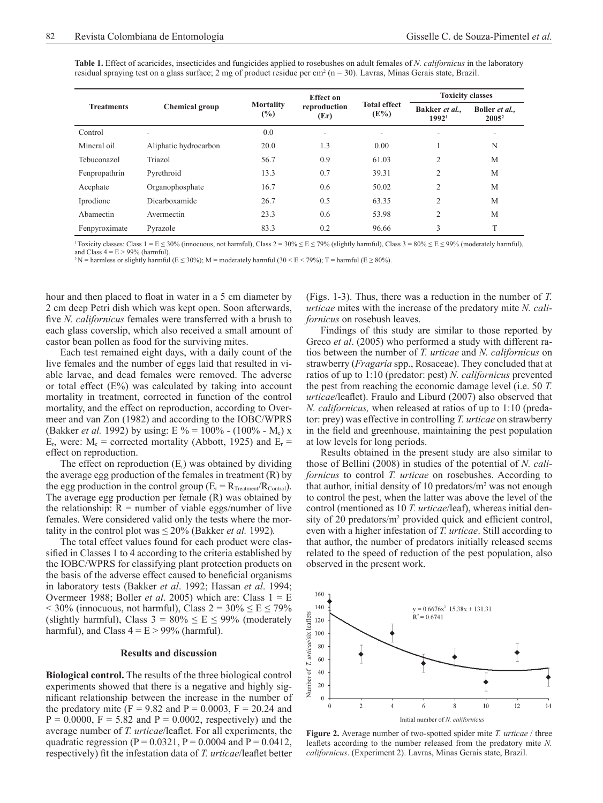| <b>Table 1.</b> Effect of acaricides, insecticides and fungicides applied to rosebushes on adult females of N. californicus in the laboratory |  |
|-----------------------------------------------------------------------------------------------------------------------------------------------|--|
| residual spraying test on a glass surface; 2 mg of product residue per cm <sup>2</sup> ( $n = 30$ ). Lavras, Minas Gerais state, Brazil.      |  |

| <b>Treatments</b> | <b>Chemical group</b> | <b>Mortality</b><br>$(\%)$ | <b>Effect on</b><br>reproduction<br>(Er) | <b>Total effect</b><br>$(E\%)$ | <b>Toxicity classes</b>           |                            |
|-------------------|-----------------------|----------------------------|------------------------------------------|--------------------------------|-----------------------------------|----------------------------|
|                   |                       |                            |                                          |                                | Bakker et al<br>1992 <sup>1</sup> | Boller et al.,<br>$2005^2$ |
| Control           | ۰                     | 0.0                        | ۰                                        | ٠                              | ٠                                 | ۰                          |
| Mineral oil       | Aliphatic hydrocarbon | 20.0                       | 1.3                                      | 0.00                           |                                   | N                          |
| Tebuconazol       | Triazol               | 56.7                       | 0.9                                      | 61.03                          | $\overline{c}$                    | M                          |
| Fenpropathrin     | Pyrethroid            | 13.3                       | 0.7                                      | 39.31                          | $\overline{2}$                    | M                          |
| Acephate          | Organophosphate       | 16.7                       | 0.6                                      | 50.02                          | $\overline{2}$                    | M                          |
| Iprodione         | Dicarboxamide         | 26.7                       | 0.5                                      | 63.35                          | $\overline{2}$                    | M                          |
| Abamectin         | Avermectin            | 23.3                       | 0.6                                      | 53.98                          | $\overline{2}$                    | M                          |
| Fenpyroximate     | Pyrazole              | 83.3                       | 0.2                                      | 96.66                          | 3                                 | T                          |

<sup>1</sup>Toxicity classes: Class 1 = E ≤ 30% (innocuous, not harmful), Class 2 = 30% ≤ E ≤ 79% (slightly harmful), Class 3 = 80% ≤ E ≤ 99% (moderately harmful), and Class  $4 = E > 99\%$  (harmful).

<sup>2</sup>N = harmless or slightly harmful (E  $\leq$  30%); M = moderately harmful (30 < E < 79%); T = harmful (E  $\geq$  80%).

hour and then placed to float in water in a 5 cm diameter by 2 cm deep Petri dish which was kept open. Soon afterwards, five *N. californicus* females were transferred with a brush to each glass coverslip, which also received a small amount of castor bean pollen as food for the surviving mites.

Each test remained eight days, with a daily count of the live females and the number of eggs laid that resulted in viable larvae, and dead females were removed. The adverse or total effect  $(E%)$  was calculated by taking into account mortality in treatment, corrected in function of the control mortality, and the effect on reproduction, according to Overmeer and van Zon (1982) and according to the IOBC/WPRS (Bakker *et al.* 1992) by using: E % = 100% - (100% - M<sub>c</sub>) x  $E_r$ , were:  $M_c$  = corrected mortality (Abbott, 1925) and  $E_r$  = effect on reproduction.

The effect on reproduction  $(E_r)$  was obtained by dividing the average egg production of the females in treatment  $(R)$  by the egg production in the control group  $(E_r = R_{Treatment}/R_{Control})$ . The average egg production per female (R) was obtained by the relationship:  $R =$  number of viable eggs/number of live females. Were considered valid only the tests where the mortality in the control plot was  $\leq 20\%$  (Bakker *et al.* 1992).

The total effect values found for each product were classified in Classes 1 to 4 according to the criteria established by the IOBC/WPRS for classifying plant protection products on the basis of the adverse effect caused to beneficial organisms in laboratory tests (Bakker *et al*. 1992; Hassan *et al*. 1994; Overmeer 1988; Boller *et al.* 2005) which are: Class  $1 = E$  $<$  30% (innocuous, not harmful), Class 2 = 30%  $\le E \le 79\%$ (slightly harmful), Class  $3 = 80\% \le E \le 99\%$  (moderately harmful), and Class  $4 = E > 99\%$  (harmful).

## **Results and discussion**

**Biological control.** The results of the three biological control experiments showed that there is a negative and highly significant relationship between the increase in the number of the predatory mite (F = 9.82 and P = 0.0003, F = 20.24 and  $P = 0.0000$ ,  $F = 5.82$  and  $P = 0.0002$ , respectively) and the average number of *T. urticae*/leaflet. For all experiments, the quadratic regression ( $P = 0.0321$ ,  $P = 0.0004$  and  $P = 0.0412$ , respectively) fit the infestation data of *T. urticae*/leaflet better

(Figs. 1-3). Thus, there was a reduction in the number of *T. urticae* mites with the increase of the predatory mite *N. californicus* on rosebush leaves.

Findings of this study are similar to those reported by Greco *et al*. (2005) who performed a study with different ratios between the number of *T. urticae* and *N. californicus* on strawberry (*Fragaria* spp., Rosaceae). They concluded that at ratios of up to 1:10 (predator: pest) *N. californicus* prevented the pest from reaching the economic damage level (i.e. 50 *T. urticae*/leaflet). Fraulo and Liburd (2007) also observed that *N. californicus,* when released at ratios of up to 1:10 (predator: prey) was effective in controlling *T. urticae* on strawberry in the field and greenhouse, maintaining the pest population at low levels for long periods.

Results obtained in the present study are also similar to those of Bellini (2008) in studies of the potential of *N. californicus* to control *T. urticae* on rosebushes. According to that author, initial density of 10 predators/ $m<sup>2</sup>$  was not enough to control the pest, when the latter was above the level of the control (mentioned as 10 *T. urticae*/leaf), whereas initial density of 20 predators/m<sup>2</sup> provided quick and efficient control, even with a higher infestation of *T. urticae*. Still according to that author, the number of predators initially released seems related to the speed of reduction of the pest population, also observed in the present work.



**Figure 2.** Average number of two-spotted spider mite *T. urticae* / three leaflets according to the number released from the predatory mite *N. californicus*. (Experiment 2). Lavras, Minas Gerais state, Brazil.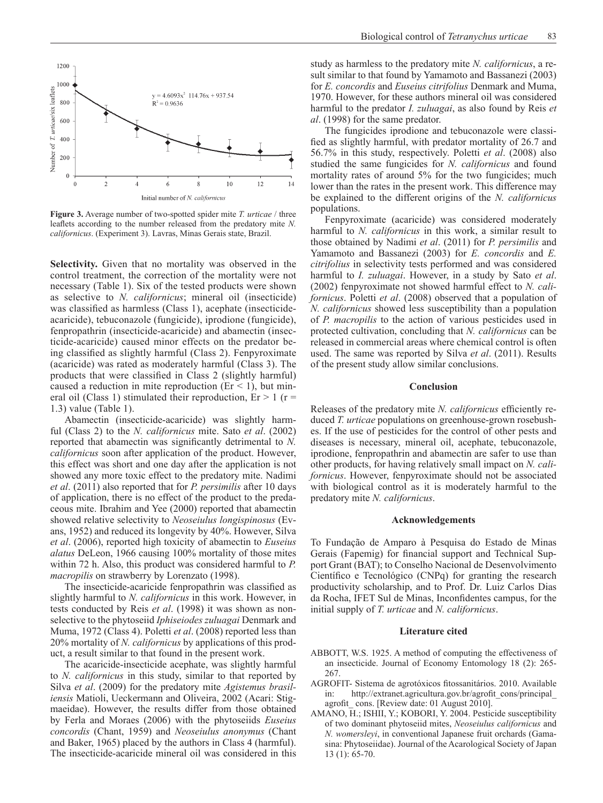

**Figure 3.** Average number of two-spotted spider mite *T. urticae* / three leaflets according to the number released from the predatory mite *N. californicus*. (Experiment 3). Lavras, Minas Gerais state, Brazil.

**Selectivity.** Given that no mortality was observed in the control treatment, the correction of the mortality were not necessary (Table 1). Six of the tested products were shown as selective to *N. californicus*; mineral oil (insecticide) was classified as harmless (Class 1), acephate (insecticideacaricide), tebuconazole (fungicide), iprodione (fungicide), fenpropathrin (insecticide-acaricide) and abamectin (insecticide-acaricide) caused minor effects on the predator being classified as slightly harmful (Class 2). Fenpyroximate (acaricide) was rated as moderately harmful (Class 3). The products that were classified in Class 2 (slightly harmful) caused a reduction in mite reproduction ( $Er < 1$ ), but mineral oil (Class 1) stimulated their reproduction,  $Er > 1$  (r = 1.3) value (Table 1).

Abamectin (insecticide-acaricide) was slightly harmful (Class 2) to the *N. californicus* mite. Sato *et al*. (2002) reported that abamectin was significantly detrimental to *N. californicus* soon after application of the product. However, this effect was short and one day after the application is not showed any more toxic effect to the predatory mite. Nadimi *et al*. (2011) also reported that for *P. persimilis* after 10 days of application, there is no effect of the product to the predaceous mite. Ibrahim and Yee (2000) reported that abamectin showed relative selectivity to *Neoseiulus longispinosus* (Evans, 1952) and reduced its longevity by 40%. However, Silva *et al*. (2006), reported high toxicity of abamectin to *Euseius alatus* DeLeon, 1966 causing 100% mortality of those mites within 72 h. Also, this product was considered harmful to *P. macropilis* on strawberry by Lorenzato (1998).

The insecticide-acaricide fenpropathrin was classified as slightly harmful to *N. californicus* in this work. However, in tests conducted by Reis *et al*. (1998) it was shown as nonselective to the phytoseiid *Iphiseiodes zuluagai* Denmark and Muma, 1972 (Class 4). Poletti *et al*. (2008) reported less than 20% mortality of *N. californicus* by applications of this product, a result similar to that found in the present work.

The acaricide-insecticide acephate, was slightly harmful to *N. californicus* in this study, similar to that reported by Silva *et al*. (2009) for the predatory mite *Agistemus brasiliensis* Matioli, Ueckermann and Oliveira, 2002 (Acari: Stigmaeidae). However, the results differ from those obtained by Ferla and Moraes (2006) with the phytoseiids *Euseius concordis* (Chant, 1959) and *Neoseiulus anonymus* (Chant and Baker, 1965) placed by the authors in Class 4 (harmful). The insecticide-acaricide mineral oil was considered in this study as harmless to the predatory mite *N. californicus*, a result similar to that found by Yamamoto and Bassanezi (2003) for *E. concordis* and *Euseius citrifolius* Denmark and Muma, 1970. However, for these authors mineral oil was considered harmful to the predator *I. zuluagai*, as also found by Reis *et al*. (1998) for the same predator.

The fungicides iprodione and tebuconazole were classified as slightly harmful, with predator mortality of 26.7 and 56.7% in this study, respectively. Poletti *et al*. (2008) also studied the same fungicides for *N. californicus* and found mortality rates of around 5% for the two fungicides; much lower than the rates in the present work. This difference may be explained to the different origins of the *N. californicus* populations.

Fenpyroximate (acaricide) was considered moderately harmful to *N. californicus* in this work, a similar result to those obtained by Nadimi *et al*. (2011) for *P. persimilis* and Yamamoto and Bassanezi (2003) for *E. concordis* and *E. citrifolius* in selectivity tests performed and was considered harmful to *I. zuluagai*. However, in a study by Sato *et al*. (2002) fenpyroximate not showed harmful effect to *N. californicus*. Poletti *et al*. (2008) observed that a population of *N. californicus* showed less susceptibility than a population of *P. macropilis* to the action of various pesticides used in protected cultivation, concluding that *N. californicus* can be released in commercial areas where chemical control is often used. The same was reported by Silva *et al*. (2011). Results of the present study allow similar conclusions.

#### **Conclusion**

Releases of the predatory mite *N. californicus* efficiently reduced *T. urticae* populations on greenhouse-grown rosebushes. If the use of pesticides for the control of other pests and diseases is necessary, mineral oil, acephate, tebuconazole, iprodione, fenpropathrin and abamectin are safer to use than other products, for having relatively small impact on *N. californicus*. However, fenpyroximate should not be associated with biological control as it is moderately harmful to the predatory mite *N. californicus*.

# **Acknowledgements**

To Fundação de Amparo à Pesquisa do Estado de Minas Gerais (Fapemig) for financial support and Technical Support Grant (BAT); to Conselho Nacional de Desenvolvimento Científico e Tecnológico (CNPq) for granting the research productivity scholarship, and to Prof. Dr. Luiz Carlos Dias da Rocha, IFET Sul de Minas, Inconfidentes campus, for the initial supply of *T. urticae* and *N. californicus*.

## **Literature cited**

- ABBOTT, W.S. 1925. A method of computing the effectiveness of an insecticide. Journal of Economy Entomology 18 (2): 265- 267.
- AGROFIT- Sistema de agrotóxicos fitossanitários. 2010. Available in: http://extranet.agricultura.gov.br/agrofit\_cons/principal\_ agrofit\_ cons. [Review date: 01 August 2010].
- AMANO, H.; ISHII, Y.; KOBORI, Y. 2004. Pesticide susceptibility of two dominant phytoseiid mites, *Neoseiulus californicus* and *N. womersleyi*, in conventional Japanese fruit orchards (Gamasina: Phytoseiidae). Journal of the Acarological Society of Japan 13 (1): 65-70.